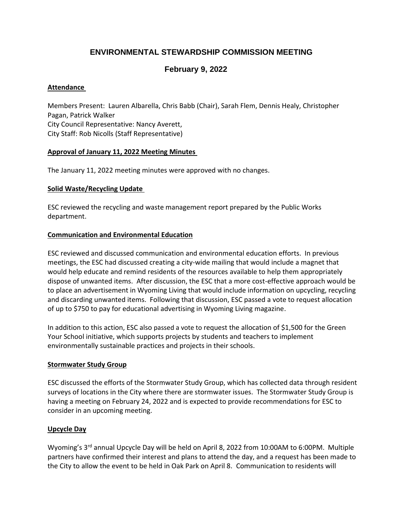# **ENVIRONMENTAL STEWARDSHIP COMMISSION MEETING**

# **February 9, 2022**

### **Attendance**

Members Present: Lauren Albarella, Chris Babb (Chair), Sarah Flem, Dennis Healy, Christopher Pagan, Patrick Walker City Council Representative: Nancy Averett, City Staff: Rob Nicolls (Staff Representative)

#### **Approval of January 11, 2022 Meeting Minutes**

The January 11, 2022 meeting minutes were approved with no changes.

#### **Solid Waste/Recycling Update**

ESC reviewed the recycling and waste management report prepared by the Public Works department.

### **Communication and Environmental Education**

ESC reviewed and discussed communication and environmental education efforts. In previous meetings, the ESC had discussed creating a city-wide mailing that would include a magnet that would help educate and remind residents of the resources available to help them appropriately dispose of unwanted items. After discussion, the ESC that a more cost-effective approach would be to place an advertisement in Wyoming Living that would include information on upcycling, recycling and discarding unwanted items. Following that discussion, ESC passed a vote to request allocation of up to \$750 to pay for educational advertising in Wyoming Living magazine.

In addition to this action, ESC also passed a vote to request the allocation of \$1,500 for the Green Your School initiative, which supports projects by students and teachers to implement environmentally sustainable practices and projects in their schools.

#### **Stormwater Study Group**

ESC discussed the efforts of the Stormwater Study Group, which has collected data through resident surveys of locations in the City where there are stormwater issues. The Stormwater Study Group is having a meeting on February 24, 2022 and is expected to provide recommendations for ESC to consider in an upcoming meeting.

## **Upcycle Day**

Wyoming's 3<sup>rd</sup> annual Upcycle Day will be held on April 8, 2022 from 10:00AM to 6:00PM. Multiple partners have confirmed their interest and plans to attend the day, and a request has been made to the City to allow the event to be held in Oak Park on April 8. Communication to residents will